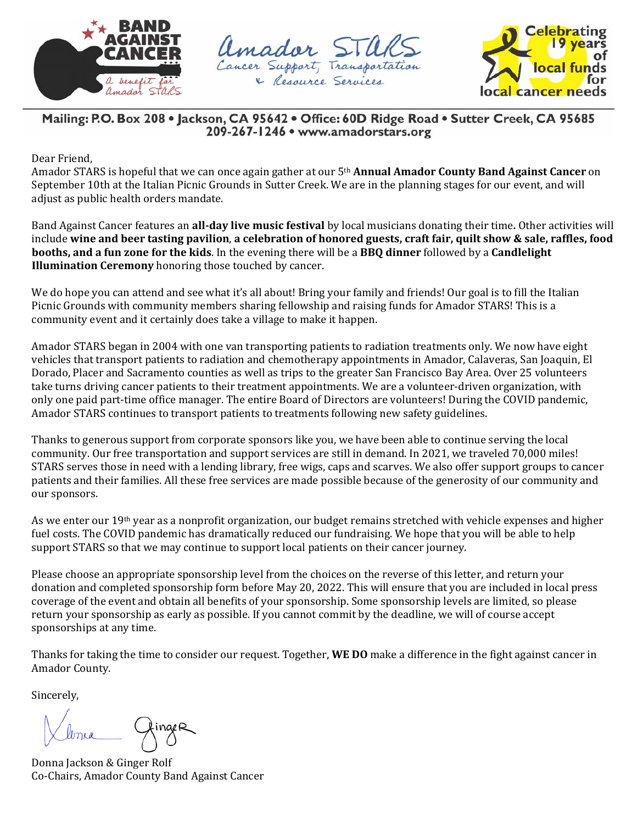





Mailing: P.O. Box 208 • Jackson, CA 95642 • Office: 60D Ridge Road • Sutter Creek, CA 95685 209-267-1246 · www.amadorstars.org

Dear Friend,

Amador STARS is hopeful that we can once again gather at our 5th **Annual Amador County Band Against Cancer** on September 10th at the Italian Picnic Grounds in Sutter Creek. We are in the planning stages for our event, and will adjust as public health orders mandate.

Band Against Cancer features an **all‐day live music festival** by local musicians donating their time**.** Other activities will include wine and beer tasting pavilion, a celebration of honored guests, craft fair, quilt show & sale, raffles, food **booths, and a fun zone for the kids**. In the evening there will be a **BBQ dinner** followed by a **Candlelight Illumination Ceremony** honoring those touched by cancer.

We do hope you can attend and see what it's all about! Bring your family and friends! Our goal is to fill the Italian Picnic Grounds with community members sharing fellowship and raising funds for Amador STARS! This is a community event and it certainly does take a village to make it happen.

Amador STARS began in 2004 with one van transporting patients to radiation treatments only. We now have eight vehicles that transport patients to radiation and chemotherapy appointments in Amador, Calaveras, San Joaquin, El Dorado, Placer and Sacramento counties as well as trips to the greater San Francisco Bay Area. Over 25 volunteers take turns driving cancer patients to their treatment appointments. We are a volunteer-driven organization, with only one paid part-time office manager. The entire Board of Directors are volunteers! During the COVID pandemic, Amador STARS continues to transport patients to treatments following new safety guidelines.

Thanks to generous support from corporate sponsors like you, we have been able to continue serving the local community. Our free transportation and support services are still in demand. In 2021, we traveled 70,000 miles! STARS serves those in need with a lending library, free wigs, caps and scarves. We also offer support groups to cancer patients and their families. All these free services are made possible because of the generosity of our community and our sponsors.

As we enter our 19<sup>th</sup> year as a nonprofit organization, our budget remains stretched with vehicle expenses and higher fuel costs. The COVID pandemic has dramatically reduced our fundraising. We hope that you will be able to help support STARS so that we may continue to support local patients on their cancer journey.

Please choose an appropriate sponsorship level from the choices on the reverse of this letter, and return your donation and completed sponsorship form before May 20, 2022. This will ensure that you are included in local press coverage of the event and obtain all benefits of your sponsorship. Some sponsorship levels are limited, so please return your sponsorship as early as possible. If you cannot commit by the deadline, we will of course accept sponsorships at any time.

Thanks for taking the time to consider our request. Together, **WE DO** make a difference in the fight against cancer in Amador County.

Sincerely,

lonia 1

Donna Jackson & Ginger Rolf Co-Chairs, Amador County Band Against Cancer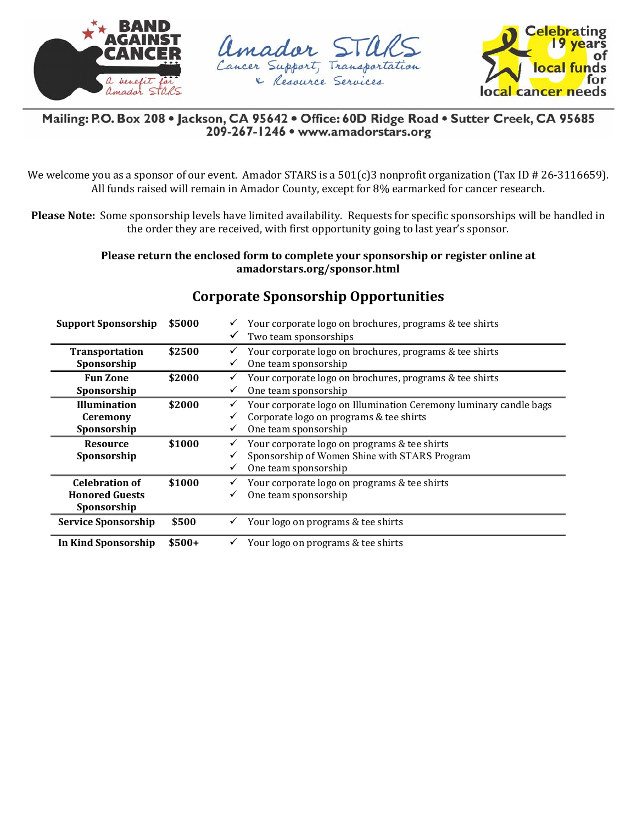





Mailing: P.O. Box 208 · Jackson, CA 95642 · Office: 60D Ridge Road · Sutter Creek, CA 95685 209-267-1246 · www.amadorstars.org

We welcome you as a sponsor of our event. Amador STARS is a 501(c)3 nonprofit organization (Tax ID # 26-3116659). All funds raised will remain in Amador County, except for 8% earmarked for cancer research.

**Please Note:** Some sponsorship levels have limited availability. Requests for specific sponsorships will be handled in the order they are received, with first opportunity going to last year's sponsor.

> **Please return the enclosed form to complete your sponsorship or register online at amadorstars.org/sponsor.html**

| <b>Support Sponsorship</b> | \$5000 | Your corporate logo on brochures, programs & tee shirts           |  |  |
|----------------------------|--------|-------------------------------------------------------------------|--|--|
|                            |        | Two team sponsorships<br>$\checkmark$                             |  |  |
| Transportation             | \$2500 | Your corporate logo on brochures, programs & tee shirts           |  |  |
| Sponsorship                |        | One team sponsorship                                              |  |  |
| <b>Fun Zone</b>            | \$2000 | Your corporate logo on brochures, programs & tee shirts           |  |  |
| Sponsorship                |        | One team sponsorship<br>✓                                         |  |  |
| <b>Illumination</b>        | \$2000 | Your corporate logo on Illumination Ceremony luminary candle bags |  |  |
| <b>Ceremony</b>            |        | Corporate logo on programs & tee shirts                           |  |  |
| Sponsorship                |        | One team sponsorship<br>v                                         |  |  |
|                            |        |                                                                   |  |  |
| <b>Resource</b>            | \$1000 | Your corporate logo on programs & tee shirts<br>v                 |  |  |
| Sponsorship                |        | Sponsorship of Women Shine with STARS Program                     |  |  |
|                            |        | One team sponsorship<br>✓                                         |  |  |
| <b>Celebration of</b>      | \$1000 | Your corporate logo on programs & tee shirts                      |  |  |
| <b>Honored Guests</b>      |        | One team sponsorship                                              |  |  |
| Sponsorship                |        |                                                                   |  |  |
| <b>Service Sponsorship</b> | \$500  | Your logo on programs & tee shirts                                |  |  |

## **Corporate Sponsorship Opportunities**